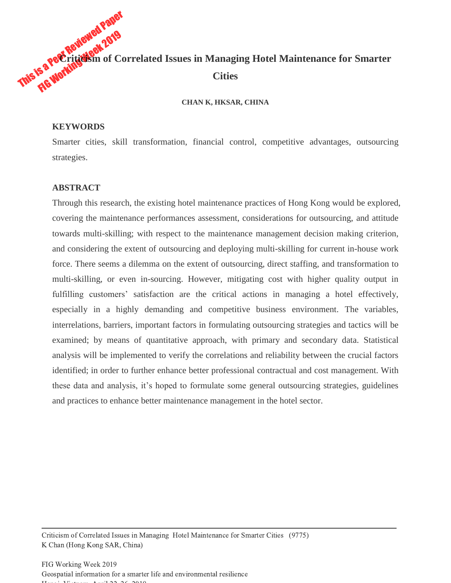

#### **CHAN K, HKSAR, CHINA**

#### **KEYWORDS**

Smarter cities, skill transformation, financial control, competitive advantages, outsourcing strategies.

## **ABSTRACT**

Through this research, the existing hotel maintenance practices of Hong Kong would be explored, covering the maintenance performances assessment, considerations for outsourcing, and attitude towards multi-skilling; with respect to the maintenance management decision making criterion, and considering the extent of outsourcing and deploying multi-skilling for current in-house work force. There seems a dilemma on the extent of outsourcing, direct staffing, and transformation to multi-skilling, or even in-sourcing. However, mitigating cost with higher quality output in fulfilling customers' satisfaction are the critical actions in managing a hotel effectively, especially in a highly demanding and competitive business environment. The variables, interrelations, barriers, important factors in formulating outsourcing strategies and tactics will be examined; by means of quantitative approach, with primary and secondary data. Statistical analysis will be implemented to verify the correlations and reliability between the crucial factors identified; in order to further enhance better professional contractual and cost management. With these data and analysis, it's hoped to formulate some general outsourcing strategies, guidelines and practices to enhance better maintenance management in the hotel sector.

Criticism of Correlated Issues in Managing Hotel Maintenance for Smarter Cities (9775) K Chan (Hong Kong SAR, China)

FIG Working Week 2019 Geospatial information for a smarter life and environmental resilience  $H = -1, V = 1, ..., A$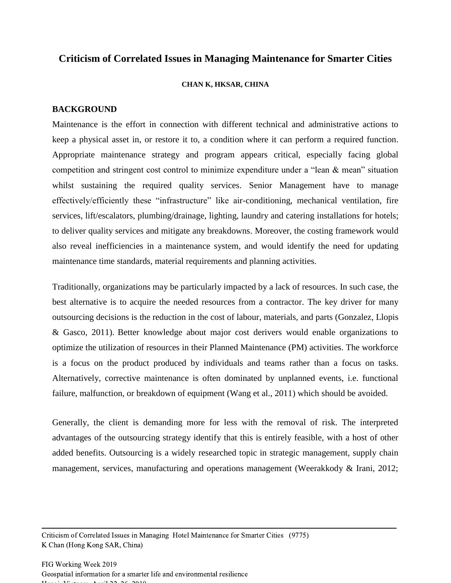# **Criticism of Correlated Issues in Managing Maintenance for Smarter Cities**

#### **CHAN K, HKSAR, CHINA**

# **BACKGROUND**

Maintenance is the effort in connection with different technical and administrative actions to keep a physical asset in, or restore it to, a condition where it can perform a required function. Appropriate maintenance strategy and program appears critical, especially facing global competition and stringent cost control to minimize expenditure under a "lean & mean" situation whilst sustaining the required quality services. Senior Management have to manage effectively/efficiently these "infrastructure" like air-conditioning, mechanical ventilation, fire services, lift/escalators, plumbing/drainage, lighting, laundry and catering installations for hotels; to deliver quality services and mitigate any breakdowns. Moreover, the costing framework would also reveal inefficiencies in a maintenance system, and would identify the need for updating maintenance time standards, material requirements and planning activities.

Traditionally, organizations may be particularly impacted by a lack of resources. In such case, the best alternative is to acquire the needed resources from a contractor. The key driver for many outsourcing decisions is the reduction in the cost of labour, materials, and parts (Gonzalez, Llopis & Gasco, 2011). Better knowledge about major cost derivers would enable organizations to optimize the utilization of resources in their Planned Maintenance (PM) activities. The workforce is a focus on the product produced by individuals and teams rather than a focus on tasks. Alternatively, corrective maintenance is often dominated by unplanned events, i.e. functional failure, malfunction, or breakdown of equipment (Wang et al., 2011) which should be avoided.

Generally, the client is demanding more for less with the removal of risk. The interpreted advantages of the outsourcing strategy identify that this is entirely feasible, with a host of other added benefits. Outsourcing is a widely researched topic in strategic management, supply chain management, services, manufacturing and operations management (Weerakkody & Irani, 2012;

Criticism of Correlated Issues in Managing Hotel Maintenance for Smarter Cities (9775) K Chan (Hong Kong SAR, China)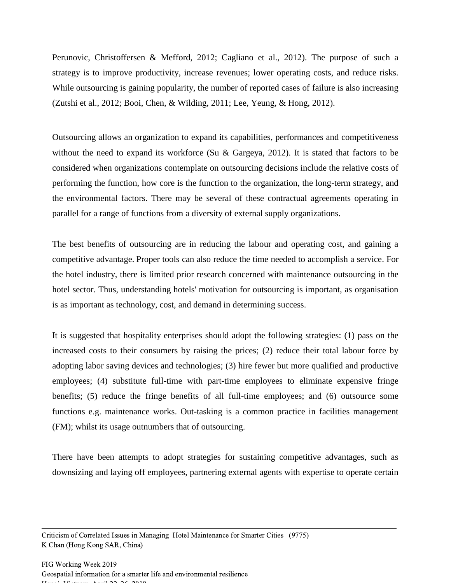Perunovic, Christoffersen & Mefford, 2012; Cagliano et al., 2012). The purpose of such a strategy is to improve productivity, increase revenues; lower operating costs, and reduce risks. While outsourcing is gaining popularity, the number of reported cases of failure is also increasing (Zutshi et al., 2012; Booi, Chen, & Wilding, 2011; Lee, Yeung, & Hong, 2012).

Outsourcing allows an organization to expand its capabilities, performances and competitiveness without the need to expand its workforce (Su & Gargeya, 2012). It is stated that factors to be considered when organizations contemplate on outsourcing decisions include the relative costs of performing the function, how core is the function to the organization, the long-term strategy, and the environmental factors. There may be several of these contractual agreements operating in parallel for a range of functions from a diversity of external supply organizations.

The best benefits of outsourcing are in reducing the labour and operating cost, and gaining a competitive advantage. Proper tools can also reduce the time needed to accomplish a service. For the hotel industry, there is limited prior research concerned with maintenance outsourcing in the hotel sector. Thus, understanding hotels' motivation for outsourcing is important, as organisation is as important as technology, cost, and demand in determining success.

It is suggested that hospitality enterprises should adopt the following strategies: (1) pass on the increased costs to their consumers by raising the prices; (2) reduce their total labour force by adopting labor saving devices and technologies; (3) hire fewer but more qualified and productive employees; (4) substitute full-time with part-time employees to eliminate expensive fringe benefits; (5) reduce the fringe benefits of all full-time employees; and (6) outsource some functions e.g. maintenance works. Out-tasking is a common practice in facilities management (FM); whilst its usage outnumbers that of outsourcing.

There have been attempts to adopt strategies for sustaining competitive advantages, such as downsizing and laying off employees, partnering external agents with expertise to operate certain

Criticism of Correlated Issues in Managing Hotel Maintenance for Smarter Cities (9775) K Chan (Hong Kong SAR, China)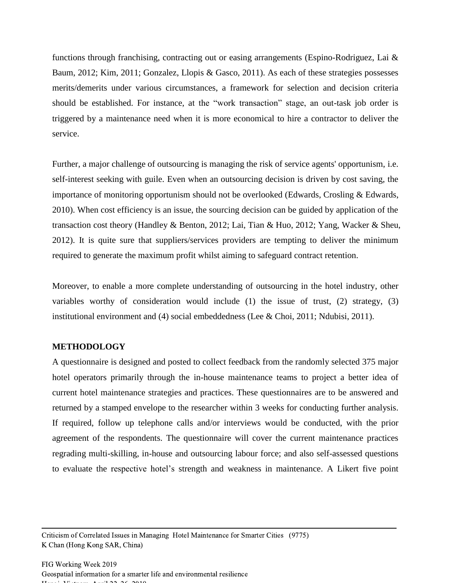functions through franchising, contracting out or easing arrangements (Espino-Rodriguez, Lai & Baum, 2012; Kim, 2011; Gonzalez, Llopis & Gasco, 2011). As each of these strategies possesses merits/demerits under various circumstances, a framework for selection and decision criteria should be established. For instance, at the "work transaction" stage, an out-task job order is triggered by a maintenance need when it is more economical to hire a contractor to deliver the service.

Further, a major challenge of outsourcing is managing the risk of service agents' opportunism, i.e. self-interest seeking with guile. Even when an outsourcing decision is driven by cost saving, the importance of monitoring opportunism should not be overlooked (Edwards, Crosling & Edwards, 2010). When cost efficiency is an issue, the sourcing decision can be guided by application of the transaction cost theory (Handley & Benton, 2012; Lai, Tian & Huo, 2012; Yang, Wacker & Sheu, 2012). It is quite sure that suppliers/services providers are tempting to deliver the minimum required to generate the maximum profit whilst aiming to safeguard contract retention.

Moreover, to enable a more complete understanding of outsourcing in the hotel industry, other variables worthy of consideration would include  $(1)$  the issue of trust,  $(2)$  strategy,  $(3)$ institutional environment and (4) social embeddedness (Lee & Choi, 2011; Ndubisi, 2011).

#### **METHODOLOGY**

A questionnaire is designed and posted to collect feedback from the randomly selected 375 major hotel operators primarily through the in-house maintenance teams to project a better idea of current hotel maintenance strategies and practices. These questionnaires are to be answered and returned by a stamped envelope to the researcher within 3 weeks for conducting further analysis. If required, follow up telephone calls and/or interviews would be conducted, with the prior agreement of the respondents. The questionnaire will cover the current maintenance practices regrading multi-skilling, in-house and outsourcing labour force; and also self-assessed questions to evaluate the respective hotel's strength and weakness in maintenance. A Likert five point

Criticism of Correlated Issues in Managing Hotel Maintenance for Smarter Cities (9775) K Chan (Hong Kong SAR, China)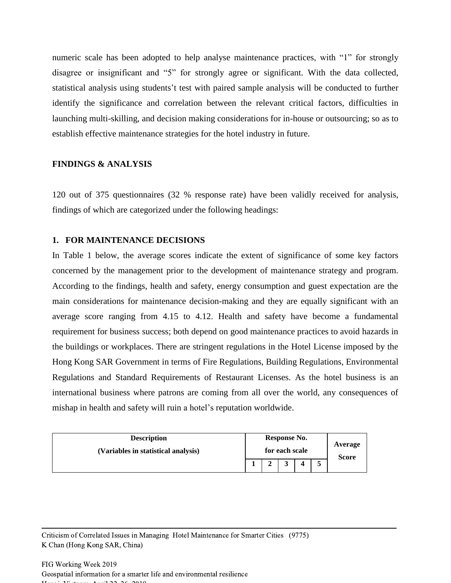numeric scale has been adopted to help analyse maintenance practices, with "1" for strongly disagree or insignificant and "5" for strongly agree or significant. With the data collected, statistical analysis using students't test with paired sample analysis will be conducted to further identify the significance and correlation between the relevant critical factors, difficulties in launching multi-skilling, and decision making considerations for in-house or outsourcing; so as to establish effective maintenance strategies for the hotel industry in future.

## **FINDINGS & ANALYSIS**

120 out of 375 questionnaires (32 % response rate) have been validly received for analysis, findings of which are categorized under the following headings:

#### **1. FOR MAINTENANCE DECISIONS**

In Table 1 below, the average scores indicate the extent of significance of some key factors concerned by the management prior to the development of maintenance strategy and program. According to the findings, health and safety, energy consumption and guest expectation are the main considerations for maintenance decision-making and they are equally significant with an average score ranging from 4.15 to 4.12. Health and safety have become a fundamental requirement for business success; both depend on good maintenance practices to avoid hazards in the buildings or workplaces. There are stringent regulations in the Hotel License imposed by the Hong Kong SAR Government in terms of Fire Regulations, Building Regulations, Environmental Regulations and Standard Requirements of Restaurant Licenses. As the hotel business is an international business where patrons are coming from all over the world, any consequences of mishap in health and safety will ruin a hotel's reputation worldwide.

| <b>Description</b>                  | Response No. |                |  |                         |  |
|-------------------------------------|--------------|----------------|--|-------------------------|--|
| (Variables in statistical analysis) |              | for each scale |  | Average<br><b>Score</b> |  |
|                                     |              |                |  |                         |  |

Criticism of Correlated Issues in Managing Hotel Maintenance for Smarter Cities (9775) K Chan (Hong Kong SAR, China)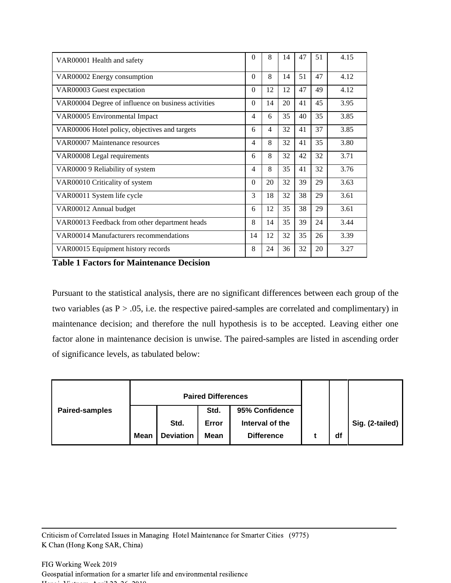| VAR00001 Health and safety                          | $\theta$ | 8  | 14 | 47 | 51 | 4.15 |
|-----------------------------------------------------|----------|----|----|----|----|------|
| VAR00002 Energy consumption                         | $\theta$ | 8  | 14 | 51 | 47 | 4.12 |
| VAR00003 Guest expectation                          | $\theta$ | 12 | 12 | 47 | 49 | 4.12 |
| VAR00004 Degree of influence on business activities | $\theta$ | 14 | 20 | 41 | 45 | 3.95 |
| VAR00005 Environmental Impact                       | 4        | 6  | 35 | 40 | 35 | 3.85 |
| VAR00006 Hotel policy, objectives and targets       | 6        | 4  | 32 | 41 | 37 | 3.85 |
| VAR00007 Maintenance resources                      | 4        | 8  | 32 | 41 | 35 | 3.80 |
| VAR00008 Legal requirements                         | 6        | 8  | 32 | 42 | 32 | 3.71 |
| VAR0000 9 Reliability of system                     | 4        | 8  | 35 | 41 | 32 | 3.76 |
| VAR00010 Criticality of system                      | $\theta$ | 20 | 32 | 39 | 29 | 3.63 |
| VAR00011 System life cycle                          | 3        | 18 | 32 | 38 | 29 | 3.61 |
| VAR00012 Annual budget                              | 6        | 12 | 35 | 38 | 29 | 3.61 |
| VAR00013 Feedback from other department heads       | 8        | 14 | 35 | 39 | 24 | 3.44 |
| VAR00014 Manufacturers recommendations              | 14       | 12 | 32 | 35 | 26 | 3.39 |
| VAR00015 Equipment history records                  | 8        | 24 | 36 | 32 | 20 | 3.27 |

**Table 1 Factors for Maintenance Decision** 

Pursuant to the statistical analysis, there are no significant differences between each group of the two variables (as  $P > .05$ , i.e. the respective paired-samples are correlated and complimentary) in maintenance decision; and therefore the null hypothesis is to be accepted. Leaving either one factor alone in maintenance decision is unwise. The paired-samples are listed in ascending order of significance levels, as tabulated below:

|                |             |                  | <b>Paired Differences</b> |                   |    |                 |
|----------------|-------------|------------------|---------------------------|-------------------|----|-----------------|
| Paired-samples |             |                  | Std.                      | 95% Confidence    |    |                 |
|                |             | Std.             | Error                     | Interval of the   |    | Sig. (2-tailed) |
|                | <b>Mean</b> | <b>Deviation</b> | Mean                      | <b>Difference</b> | df |                 |

Criticism of Correlated Issues in Managing Hotel Maintenance for Smarter Cities (9775) K Chan (Hong Kong SAR, China)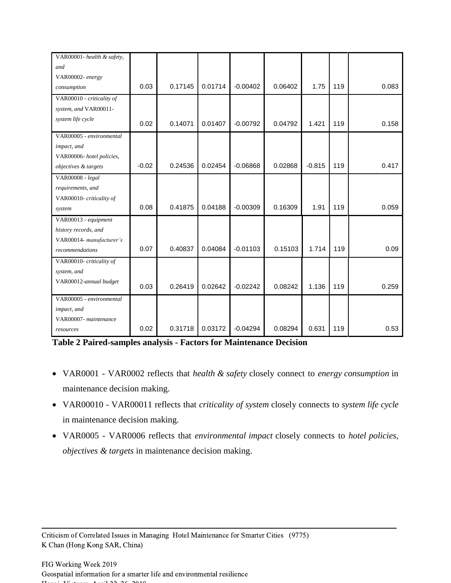| VAR00001- health & safety, |         |         |         |            |         |          |     |       |
|----------------------------|---------|---------|---------|------------|---------|----------|-----|-------|
| and                        |         |         |         |            |         |          |     |       |
| VAR00002- energy           |         |         |         |            |         |          |     |       |
| consumption                | 0.03    | 0.17145 | 0.01714 | $-0.00402$ | 0.06402 | 1.75     | 119 | 0.083 |
| VAR00010 - criticality of  |         |         |         |            |         |          |     |       |
| system, and VAR00011-      |         |         |         |            |         |          |     |       |
| system life cycle          | 0.02    | 0.14071 | 0.01407 | $-0.00792$ | 0.04792 | 1.421    | 119 | 0.158 |
| VAR00005 - environmental   |         |         |         |            |         |          |     |       |
| impact, and                |         |         |         |            |         |          |     |       |
| VAR00006- hotel policies,  |         |         |         |            |         |          |     |       |
| objectives & targets       | $-0.02$ | 0.24536 | 0.02454 | $-0.06868$ | 0.02868 | $-0.815$ | 119 | 0.417 |
| VAR00008 - legal           |         |         |         |            |         |          |     |       |
| requirements, and          |         |         |         |            |         |          |     |       |
| VAR00010- criticality of   |         |         |         |            |         |          |     |       |
| system                     | 0.08    | 0.41875 | 0.04188 | $-0.00309$ | 0.16309 | 1.91     | 119 | 0.059 |
| VAR00013 - equipment       |         |         |         |            |         |          |     |       |
| history records, and       |         |         |         |            |         |          |     |       |
| VAR00014- manufacturer's   |         |         |         |            |         |          |     |       |
| recommendations            | 0.07    | 0.40837 | 0.04084 | $-0.01103$ | 0.15103 | 1.714    | 119 | 0.09  |
| VAR00010- criticality of   |         |         |         |            |         |          |     |       |
| system, and                |         |         |         |            |         |          |     |       |
| VAR00012-annual budget     | 0.03    | 0.26419 | 0.02642 | $-0.02242$ | 0.08242 | 1.136    | 119 | 0.259 |
| VAR00005 - environmental   |         |         |         |            |         |          |     |       |
| impact, and                |         |         |         |            |         |          |     |       |
| VAR00007- maintenance      |         |         |         |            |         |          |     |       |
| resources                  | 0.02    | 0.31718 | 0.03172 | $-0.04294$ | 0.08294 | 0.631    | 119 | 0.53  |

**Table 2 Paired-samples analysis - Factors for Maintenance Decision** 

- VAR0001 VAR0002 reflects that *health & safety* closely connect to *energy consumption* in maintenance decision making.
- VAR00010 VAR00011 reflects that *criticality of system* closely connects to *system life cycle*  in maintenance decision making.
- VAR0005 VAR0006 reflects that *environmental impact* closely connects to *hotel policies, objectives & targets* in maintenance decision making.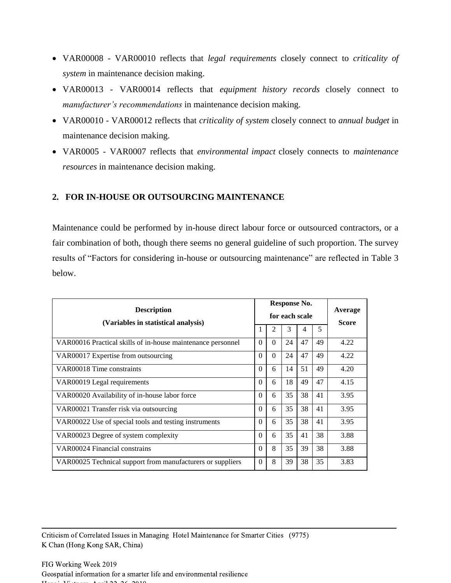- VAR00008 VAR00010 reflects that *legal requirements* closely connect to *criticality of system* in maintenance decision making.
- VAR00013 VAR00014 reflects that *equipment history records* closely connect to *manufacturer's recommendations* in maintenance decision making.
- VAR00010 VAR00012 reflects that *criticality of system* closely connect to *annual budget* in maintenance decision making.
- VAR0005 VAR0007 reflects that *environmental impact* closely connects to *maintenance resources* in maintenance decision making.

# **2. FOR IN-HOUSE OR OUTSOURCING MAINTENANCE**

Maintenance could be performed by in-house direct labour force or outsourced contractors, or a fair combination of both, though there seems no general guideline of such proportion. The survey results of "Factors for considering in-house or outsourcing maintenance" are reflected in Table 3 below.

| <b>Description</b><br>(Variables in statistical analysis)   |          | Response No.<br>for each scale | Average<br><b>Score</b> |    |    |      |
|-------------------------------------------------------------|----------|--------------------------------|-------------------------|----|----|------|
|                                                             |          | 2                              | 3                       | 4  | 5  |      |
| VAR00016 Practical skills of in-house maintenance personnel | $\Omega$ | $\Omega$                       | 24                      | 47 | 49 | 4.22 |
| VAR00017 Expertise from outsourcing                         | $\Omega$ | $\Omega$                       | 24                      | 47 | 49 | 4.22 |
| VAR00018 Time constraints                                   | $\Omega$ | 6                              | 14                      | 51 | 49 | 4.20 |
| VAR00019 Legal requirements                                 | $\Omega$ | 6                              | 18                      | 49 | 47 | 4.15 |
| VAR00020 Availability of in-house labor force               | $\Omega$ | 6                              | 35                      | 38 | 41 | 3.95 |
| VAR00021 Transfer risk via outsourcing                      | $\Omega$ | 6                              | 35                      | 38 | 41 | 3.95 |
| VAR00022 Use of special tools and testing instruments       | $\Omega$ | 6                              | 35                      | 38 | 41 | 3.95 |
| VAR00023 Degree of system complexity                        | $\Omega$ | 6                              | 35                      | 41 | 38 | 3.88 |
| VAR00024 Financial constrains                               | $\Omega$ | 8                              | 35                      | 39 | 38 | 3.88 |
| VAR00025 Technical support from manufacturers or suppliers  | $\Omega$ | 8                              | 39                      | 38 | 35 | 3.83 |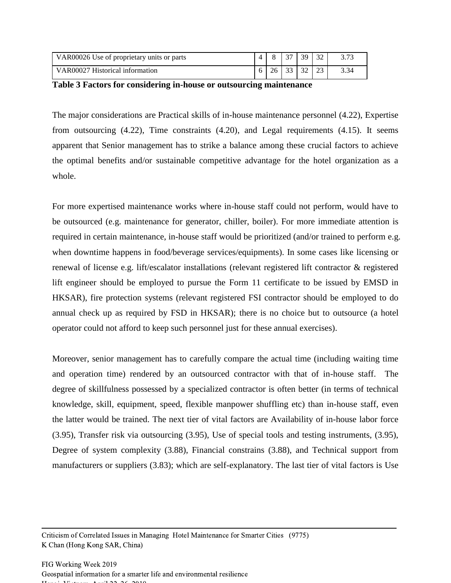| VAR00026 Use of proprietary units or parts |  | $\sim$ | 39            | 32          |  |
|--------------------------------------------|--|--------|---------------|-------------|--|
| VAR00027 Historical information            |  | $\sim$ | $\mathcal{D}$ | $2^{\circ}$ |  |

**Table 3 Factors for considering in-house or outsourcing maintenance**

The major considerations are Practical skills of in-house maintenance personnel (4.22), Expertise from outsourcing (4.22), Time constraints (4.20), and Legal requirements (4.15). It seems apparent that Senior management has to strike a balance among these crucial factors to achieve the optimal benefits and/or sustainable competitive advantage for the hotel organization as a whole.

For more expertised maintenance works where in-house staff could not perform, would have to be outsourced (e.g. maintenance for generator, chiller, boiler). For more immediate attention is required in certain maintenance, in-house staff would be prioritized (and/or trained to perform e.g. when downtime happens in food/beverage services/equipments). In some cases like licensing or renewal of license e.g. lift/escalator installations (relevant registered lift contractor & registered lift engineer should be employed to pursue the Form 11 certificate to be issued by EMSD in HKSAR), fire protection systems (relevant registered FSI contractor should be employed to do annual check up as required by FSD in HKSAR); there is no choice but to outsource (a hotel operator could not afford to keep such personnel just for these annual exercises).

Moreover, senior management has to carefully compare the actual time (including waiting time and operation time) rendered by an outsourced contractor with that of in-house staff. The degree of skillfulness possessed by a specialized contractor is often better (in terms of technical knowledge, skill, equipment, speed, flexible manpower shuffling etc) than in-house staff, even the latter would be trained. The next tier of vital factors are Availability of in-house labor force (3.95), Transfer risk via outsourcing (3.95), Use of special tools and testing instruments, (3.95), Degree of system complexity (3.88), Financial constrains (3.88), and Technical support from manufacturers or suppliers (3.83); which are self-explanatory. The last tier of vital factors is Use

Criticism of Correlated Issues in Managing Hotel Maintenance for Smarter Cities (9775) K Chan (Hong Kong SAR, China)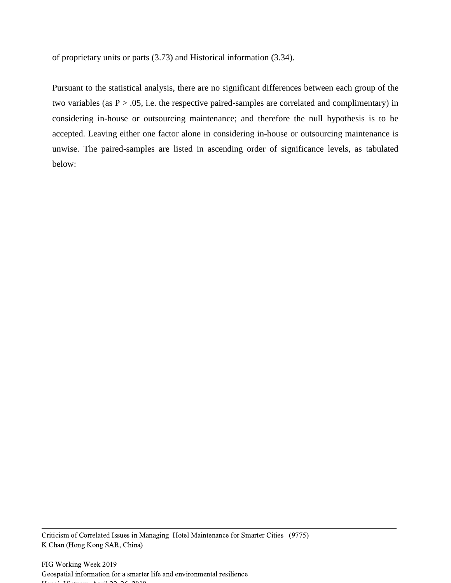of proprietary units or parts (3.73) and Historical information (3.34).

Pursuant to the statistical analysis, there are no significant differences between each group of the two variables (as  $P > .05$ , i.e. the respective paired-samples are correlated and complimentary) in considering in-house or outsourcing maintenance; and therefore the null hypothesis is to be accepted. Leaving either one factor alone in considering in-house or outsourcing maintenance is unwise. The paired-samples are listed in ascending order of significance levels, as tabulated below: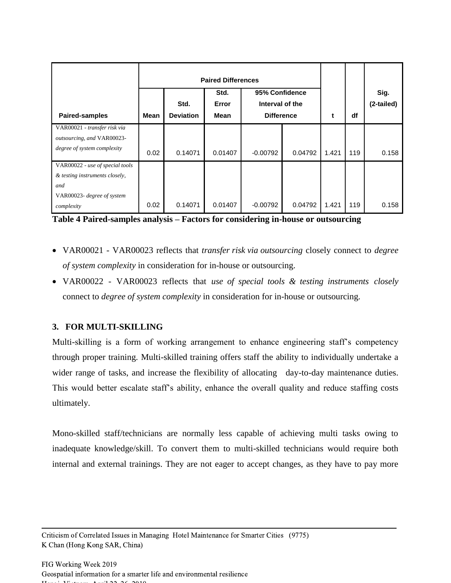| <b>Paired-samples</b>                                      | <b>Mean</b> | Std.<br><b>Deviation</b> | <b>Paired Differences</b><br>Std.<br>Error<br>Mean | 95% Confidence<br>Interval of the |         | t     | df  | Sig.<br>(2-tailed) |
|------------------------------------------------------------|-------------|--------------------------|----------------------------------------------------|-----------------------------------|---------|-------|-----|--------------------|
|                                                            |             |                          |                                                    | <b>Difference</b>                 |         |       |     |                    |
| VAR00021 - transfer risk via<br>outsourcing, and VAR00023- |             |                          |                                                    |                                   |         |       |     |                    |
| degree of system complexity                                | 0.02        | 0.14071                  | 0.01407                                            | $-0.00792$                        | 0.04792 | 1.421 | 119 | 0.158              |
| VAR00022 - use of special tools                            |             |                          |                                                    |                                   |         |       |     |                    |
| & testing instruments closely,                             |             |                          |                                                    |                                   |         |       |     |                    |
| and                                                        |             |                          |                                                    |                                   |         |       |     |                    |
| VAR00023- degree of system                                 |             |                          |                                                    |                                   |         |       |     |                    |
| complexity                                                 | 0.02        | 0.14071                  | 0.01407                                            | $-0.00792$                        | 0.04792 | 1.421 | 119 | 0.158              |

**Table 4 Paired-samples analysis – Factors for considering in-house or outsourcing** 

- VAR00021 VAR00023 reflects that *transfer risk via outsourcing* closely connect to *degree of system complexity* in consideration for in-house or outsourcing.
- VAR00022 VAR00023 reflects that *use of special tools & testing instruments closely* connect to *degree of system complexity* in consideration for in-house or outsourcing.

# **3. FOR MULTI-SKILLING**

Multi-skilling is a form of working arrangement to enhance engineering staff's competency through proper training. Multi-skilled training offers staff the ability to individually undertake a wider range of tasks, and increase the flexibility of allocating day-to-day maintenance duties. This would better escalate staff's ability, enhance the overall quality and reduce staffing costs ultimately.

Mono-skilled staff/technicians are normally less capable of achieving multi tasks owing to inadequate knowledge/skill. To convert them to multi-skilled technicians would require both internal and external trainings. They are not eager to accept changes, as they have to pay more

Criticism of Correlated Issues in Managing Hotel Maintenance for Smarter Cities (9775) K Chan (Hong Kong SAR, China)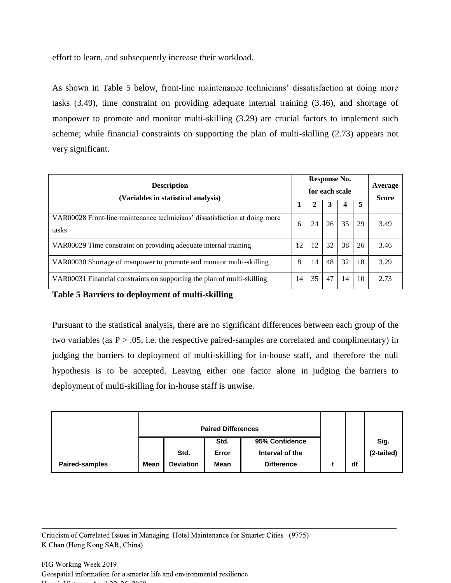effort to learn, and subsequently increase their workload.

As shown in Table 5 below, front-line maintenance technicians' dissatisfaction at doing more tasks (3.49), time constraint on providing adequate internal training (3.46), and shortage of manpower to promote and monitor multi-skilling (3.29) are crucial factors to implement such scheme; while financial constraints on supporting the plan of multi-skilling (2.73) appears not very significant.

| <b>Description</b><br>(Variables in statistical analysis)                           |    |    | Response No.<br>for each scale |    |    | Average<br><b>Score</b> |
|-------------------------------------------------------------------------------------|----|----|--------------------------------|----|----|-------------------------|
|                                                                                     |    | 2  | 3                              | 4  | 5  |                         |
| VAR00028 Front-line maintenance technicians' dissatisfaction at doing more<br>tasks | 6  | 24 | 26                             | 35 | 29 | 3.49                    |
| VAR00029 Time constraint on providing adequate internal training                    | 12 | 12 | 32                             | 38 | 26 | 3.46                    |
| VAR00030 Shortage of manpower to promote and monitor multi-skilling                 | 8  | 14 | 48                             | 32 | 18 | 3.29                    |
| VAR00031 Financial constraints on supporting the plan of multi-skilling             | 14 | 35 | 47                             | 14 | 10 | 2.73                    |

**Table 5 Barriers to deployment of multi-skilling**

Pursuant to the statistical analysis, there are no significant differences between each group of the two variables (as  $P > .05$ , i.e. the respective paired-samples are correlated and complimentary) in judging the barriers to deployment of multi-skilling for in-house staff, and therefore the null hypothesis is to be accepted. Leaving either one factor alone in judging the barriers to deployment of multi-skilling for in-house staff is unwise.

|                       |             | <b>Paired Differences</b> |             |                   |  |    |            |
|-----------------------|-------------|---------------------------|-------------|-------------------|--|----|------------|
|                       |             |                           | Std.        | 95% Confidence    |  |    | Sig.       |
|                       |             | Std.                      | Error       | Interval of the   |  |    | (2-tailed) |
| <b>Paired-samples</b> | <b>Mean</b> | <b>Deviation</b>          | <b>Mean</b> | <b>Difference</b> |  | df |            |

Criticism of Correlated Issues in Managing Hotel Maintenance for Smarter Cities (9775) K Chan (Hong Kong SAR, China)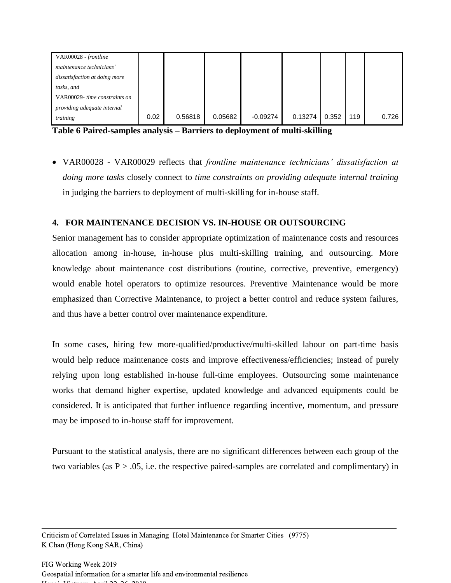| VAR00028 - frontline          |      |         |         |            |         |       |     |       |
|-------------------------------|------|---------|---------|------------|---------|-------|-----|-------|
| maintenance technicians'      |      |         |         |            |         |       |     |       |
| dissatisfaction at doing more |      |         |         |            |         |       |     |       |
| tasks, and                    |      |         |         |            |         |       |     |       |
| VAR00029- time constraints on |      |         |         |            |         |       |     |       |
| providing adequate internal   |      |         |         |            |         |       |     |       |
| training                      | 0.02 | 0.56818 | 0.05682 | $-0.09274$ | 0.13274 | 0.352 | 119 | 0.726 |

**Table 6 Paired-samples analysis – Barriers to deployment of multi-skilling**

• VAR00028 - VAR00029 reflects that *frontline maintenance technicians' dissatisfaction at doing more tasks* closely connect to *time constraints on providing adequate internal training* in judging the barriers to deployment of multi-skilling for in-house staff.

# **4. FOR MAINTENANCE DECISION VS. IN-HOUSE OR OUTSOURCING**

Senior management has to consider appropriate optimization of maintenance costs and resources allocation among in-house, in-house plus multi-skilling training, and outsourcing. More knowledge about maintenance cost distributions (routine, corrective, preventive, emergency) would enable hotel operators to optimize resources. Preventive Maintenance would be more emphasized than Corrective Maintenance, to project a better control and reduce system failures, and thus have a better control over maintenance expenditure.

In some cases, hiring few more-qualified/productive/multi-skilled labour on part-time basis would help reduce maintenance costs and improve effectiveness/efficiencies; instead of purely relying upon long established in-house full-time employees. Outsourcing some maintenance works that demand higher expertise, updated knowledge and advanced equipments could be considered. It is anticipated that further influence regarding incentive, momentum, and pressure may be imposed to in-house staff for improvement.

Pursuant to the statistical analysis, there are no significant differences between each group of the two variables (as  $P > .05$ , i.e. the respective paired-samples are correlated and complimentary) in

Criticism of Correlated Issues in Managing Hotel Maintenance for Smarter Cities (9775) K Chan (Hong Kong SAR, China)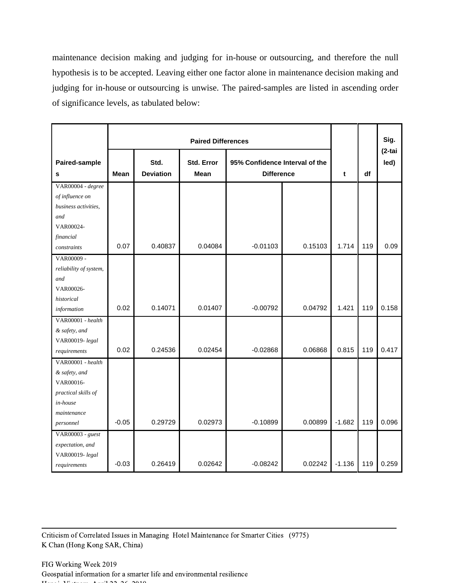maintenance decision making and judging for in-house or outsourcing, and therefore the null hypothesis is to be accepted. Leaving either one factor alone in maintenance decision making and judging for in-house or outsourcing is unwise. The paired-samples are listed in ascending order of significance levels, as tabulated below:

|                        |         |                  | <b>Paired Differences</b> |                                |         |          |     | Sig.<br>$(2-tai$ |
|------------------------|---------|------------------|---------------------------|--------------------------------|---------|----------|-----|------------------|
| Paired-sample          |         | Std.             | Std. Error                | 95% Confidence Interval of the |         |          |     | led)             |
| s                      | Mean    | <b>Deviation</b> | <b>Mean</b>               | <b>Difference</b>              |         | t        | df  |                  |
| VAR00004 - degree      |         |                  |                           |                                |         |          |     |                  |
| of influence on        |         |                  |                           |                                |         |          |     |                  |
| business activities,   |         |                  |                           |                                |         |          |     |                  |
| and                    |         |                  |                           |                                |         |          |     |                  |
| VAR00024-              |         |                  |                           |                                |         |          |     |                  |
| financial              |         |                  |                           |                                |         |          |     |                  |
| constraints            | 0.07    | 0.40837          | 0.04084                   | $-0.01103$                     | 0.15103 | 1.714    | 119 | 0.09             |
| VAR00009 -             |         |                  |                           |                                |         |          |     |                  |
| reliability of system, |         |                  |                           |                                |         |          |     |                  |
| and                    |         |                  |                           |                                |         |          |     |                  |
| VAR00026-              |         |                  |                           |                                |         |          |     |                  |
| historical             |         |                  |                           |                                |         |          |     |                  |
| information            | 0.02    | 0.14071          | 0.01407                   | $-0.00792$                     | 0.04792 | 1.421    | 119 | 0.158            |
| VAR00001 - health      |         |                  |                           |                                |         |          |     |                  |
| & safety, and          |         |                  |                           |                                |         |          |     |                  |
| VAR00019-legal         |         |                  |                           |                                |         |          |     |                  |
| requirements           | 0.02    | 0.24536          | 0.02454                   | $-0.02868$                     | 0.06868 | 0.815    | 119 | 0.417            |
| VAR00001 - health      |         |                  |                           |                                |         |          |     |                  |
| & safety, and          |         |                  |                           |                                |         |          |     |                  |
| VAR00016-              |         |                  |                           |                                |         |          |     |                  |
| practical skills of    |         |                  |                           |                                |         |          |     |                  |
| in-house               |         |                  |                           |                                |         |          |     |                  |
| maintenance            |         |                  |                           |                                |         |          |     |                  |
| personnel              | $-0.05$ | 0.29729          | 0.02973                   | $-0.10899$                     | 0.00899 | $-1.682$ | 119 | 0.096            |
| VAR00003 - guest       |         |                  |                           |                                |         |          |     |                  |
| expectation, and       |         |                  |                           |                                |         |          |     |                  |
| VAR00019-legal         |         |                  |                           |                                |         |          |     |                  |
| requirements           | $-0.03$ | 0.26419          | 0.02642                   | $-0.08242$                     | 0.02242 | $-1.136$ | 119 | 0.259            |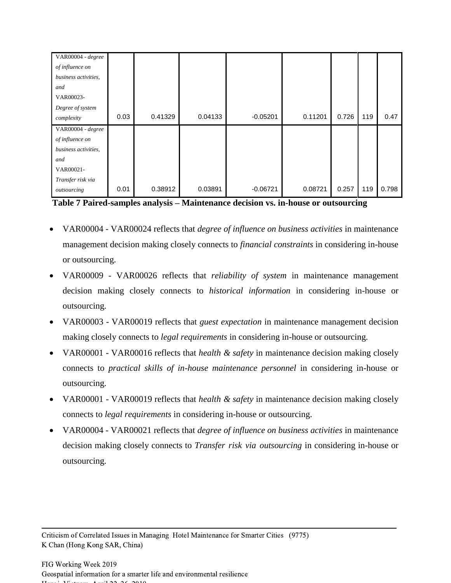| VAR00004 - degree    |      |         |         |            |         |       |     |       |
|----------------------|------|---------|---------|------------|---------|-------|-----|-------|
| of influence on      |      |         |         |            |         |       |     |       |
| business activities, |      |         |         |            |         |       |     |       |
| and                  |      |         |         |            |         |       |     |       |
| VAR00023-            |      |         |         |            |         |       |     |       |
| Degree of system     |      |         |         |            |         |       |     |       |
| complexity           | 0.03 | 0.41329 | 0.04133 | $-0.05201$ | 0.11201 | 0.726 | 119 | 0.47  |
| VAR00004 - degree    |      |         |         |            |         |       |     |       |
| of influence on      |      |         |         |            |         |       |     |       |
| business activities, |      |         |         |            |         |       |     |       |
| and                  |      |         |         |            |         |       |     |       |
| VAR00021-            |      |         |         |            |         |       |     |       |
| Transfer risk via    |      |         |         |            |         |       |     |       |
| outsourcing          | 0.01 | 0.38912 | 0.03891 | $-0.06721$ | 0.08721 | 0.257 | 119 | 0.798 |

**Table 7 Paired-samples analysis – Maintenance decision vs. in-house or outsourcing**

- VAR00004 VAR00024 reflects that *degree of influence on business activities* in maintenance management decision making closely connects to *financial constraints* in considering in-house or outsourcing.
- VAR00009 VAR00026 reflects that *reliability of system* in maintenance management decision making closely connects to *historical information* in considering in-house or outsourcing.
- VAR00003 VAR00019 reflects that *guest expectation* in maintenance management decision making closely connects to *legal requirements* in considering in-house or outsourcing.
- VAR00001 VAR00016 reflects that *health & safety* in maintenance decision making closely connects to *practical skills of in-house maintenance personnel* in considering in-house or outsourcing.
- VAR00001 VAR00019 reflects that *health & safety* in maintenance decision making closely connects to *legal requirements* in considering in-house or outsourcing.
- VAR00004 VAR00021 reflects that *degree of influence on business activities* in maintenance decision making closely connects to *Transfer risk via outsourcing* in considering in-house or outsourcing.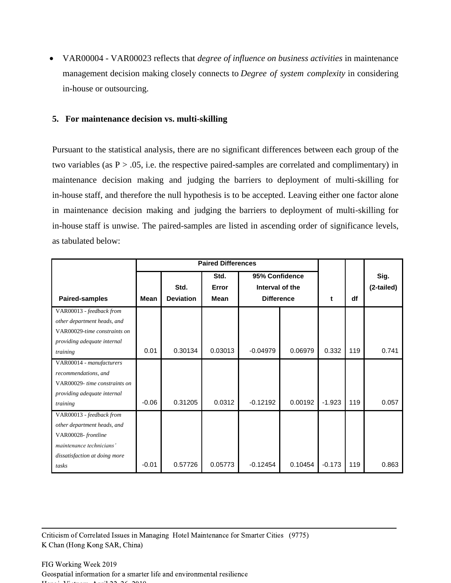• VAR00004 - VAR00023 reflects that *degree of influence on business activities* in maintenance management decision making closely connects to *Degree of system complexity* in considering in-house or outsourcing.

## **5. For maintenance decision vs. multi-skilling**

Pursuant to the statistical analysis, there are no significant differences between each group of the two variables (as  $P > .05$ , i.e. the respective paired-samples are correlated and complimentary) in maintenance decision making and judging the barriers to deployment of multi-skilling for in-house staff, and therefore the null hypothesis is to be accepted. Leaving either one factor alone in maintenance decision making and judging the barriers to deployment of multi-skilling for in-house staff is unwise. The paired-samples are listed in ascending order of significance levels, as tabulated below:

|                               | <b>Paired Differences</b> |                  |             |                   |         |          |     |            |
|-------------------------------|---------------------------|------------------|-------------|-------------------|---------|----------|-----|------------|
|                               |                           |                  | Std.        | 95% Confidence    |         |          |     | Sig.       |
|                               |                           | Std.             | Error       | Interval of the   |         |          |     | (2-tailed) |
| <b>Paired-samples</b>         | <b>Mean</b>               | <b>Deviation</b> | <b>Mean</b> | <b>Difference</b> |         | t        | df  |            |
| VAR00013 - feedback from      |                           |                  |             |                   |         |          |     |            |
| other department heads, and   |                           |                  |             |                   |         |          |     |            |
| VAR00029-time constraints on  |                           |                  |             |                   |         |          |     |            |
| providing adequate internal   |                           |                  |             |                   |         |          |     |            |
| training                      | 0.01                      | 0.30134          | 0.03013     | $-0.04979$        | 0.06979 | 0.332    | 119 | 0.741      |
| VAR00014 - manufacturers      |                           |                  |             |                   |         |          |     |            |
| recommendations, and          |                           |                  |             |                   |         |          |     |            |
| VAR00029- time constraints on |                           |                  |             |                   |         |          |     |            |
| providing adequate internal   |                           |                  |             |                   |         |          |     |            |
| training                      | $-0.06$                   | 0.31205          | 0.0312      | $-0.12192$        | 0.00192 | $-1.923$ | 119 | 0.057      |
| VAR00013 - feedback from      |                           |                  |             |                   |         |          |     |            |
| other department heads, and   |                           |                  |             |                   |         |          |     |            |
| VAR00028-frontline            |                           |                  |             |                   |         |          |     |            |
| maintenance technicians'      |                           |                  |             |                   |         |          |     |            |
| dissatisfaction at doing more |                           |                  |             |                   |         |          |     |            |
| tasks                         | $-0.01$                   | 0.57726          | 0.05773     | $-0.12454$        | 0.10454 | $-0.173$ | 119 | 0.863      |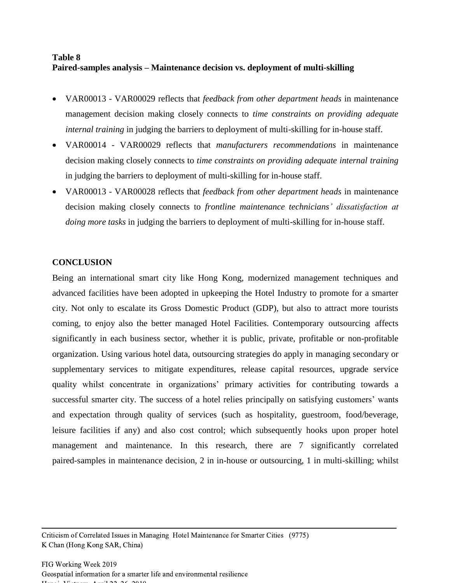# **Table 8 Paired-samples analysis – Maintenance decision vs. deployment of multi-skilling**

- VAR00013 VAR00029 reflects that *feedback from other department heads* in maintenance management decision making closely connects to *time constraints on providing adequate internal training* in judging the barriers to deployment of multi-skilling for in-house staff.
- VAR00014 VAR00029 reflects that *manufacturers recommendations* in maintenance decision making closely connects to *time constraints on providing adequate internal training*  in judging the barriers to deployment of multi-skilling for in-house staff.
- VAR00013 VAR00028 reflects that *feedback from other department heads* in maintenance decision making closely connects to *frontline maintenance technicians' dissatisfaction at doing more tasks* in judging the barriers to deployment of multi-skilling for in-house staff.

# **CONCLUSION**

Being an international smart city like Hong Kong, modernized management techniques and advanced facilities have been adopted in upkeeping the Hotel Industry to promote for a smarter city. Not only to escalate its Gross Domestic Product (GDP), but also to attract more tourists coming, to enjoy also the better managed Hotel Facilities. Contemporary outsourcing affects significantly in each business sector, whether it is public, private, profitable or non-profitable organization. Using various hotel data, outsourcing strategies do apply in managing secondary or supplementary services to mitigate expenditures, release capital resources, upgrade service quality whilst concentrate in organizations' primary activities for contributing towards a successful smarter city. The success of a hotel relies principally on satisfying customers' wants and expectation through quality of services (such as hospitality, guestroom, food/beverage, leisure facilities if any) and also cost control; which subsequently hooks upon proper hotel management and maintenance. In this research, there are 7 significantly correlated paired-samples in maintenance decision, 2 in in-house or outsourcing, 1 in multi-skilling; whilst

Criticism of Correlated Issues in Managing Hotel Maintenance for Smarter Cities (9775) K Chan (Hong Kong SAR, China)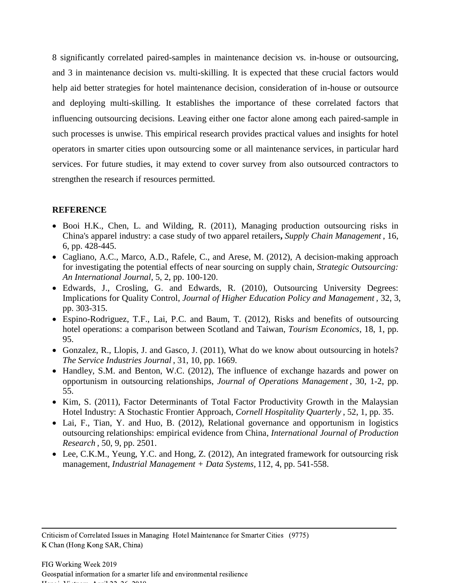8 significantly correlated paired-samples in maintenance decision vs. in-house or outsourcing, and 3 in maintenance decision vs. multi-skilling. It is expected that these crucial factors would help aid better strategies for hotel maintenance decision, consideration of in-house or outsource and deploying multi-skilling. It establishes the importance of these correlated factors that influencing outsourcing decisions. Leaving either one factor alone among each paired-sample in such processes is unwise. This empirical research provides practical values and insights for hotel operators in smarter cities upon outsourcing some or all maintenance services, in particular hard services. For future studies, it may extend to cover survey from also outsourced contractors to strengthen the research if resources permitted.

# **REFERENCE**

- Booi H.K., Chen, L. and Wilding, R. (2011), [Managing production outsourcing](http://search.proquest.com.ezproxy.cityu.edu.hk/docview/895358518/13A2448A0CD745B7634/13?accountid=10134) risks in [China's apparel industry: a case study of two apparel retailers](http://search.proquest.com.ezproxy.cityu.edu.hk/docview/895358518/13A2448A0CD745B7634/13?accountid=10134)**,** *Supply Chain Management* , 16, 6, pp. 428-445.
- Cagliano, A.C., Marco, A.D., Rafele, C., and Arese, M. (2012), [A decision-making approach](http://search.proquest.com/docview/1032893365/13A20E8065A322C0082/2?accountid=10134)  [for investigating the potential effects of near sourcing on supply chain,](http://search.proquest.com/docview/1032893365/13A20E8065A322C0082/2?accountid=10134) *Strategic Outsourcing: An International Journal*, 5, 2, pp. 100-120.
- Edwards, J., Crosling, G. and Edwards, R. (2010), [Outsourcing University Degrees:](http://search.proquest.com.ezproxy.cityu.edu.hk/docview/742876623/13A21ECAF3266E4E331/1?accountid=10134)  [Implications for Quality Control,](http://search.proquest.com.ezproxy.cityu.edu.hk/docview/742876623/13A21ECAF3266E4E331/1?accountid=10134) *Journal of Higher Education Policy and Management ,* 32, 3, pp. 303-315.
- Espino-Rodriguez, T.F., Lai, P.C. and Baum, T. (2012), [Risks and benefits of outsourcing](http://search.proquest.com.ezproxy.cityu.edu.hk/docview/923769534/13A2466F56078C9B62B/3?accountid=10134)  hotel [operations: a comparison between Scotland and Taiwan,](http://search.proquest.com.ezproxy.cityu.edu.hk/docview/923769534/13A2466F56078C9B62B/3?accountid=10134) *Tourism Economics*, 18, 1, pp. 95.
- Gonzalez, R., Llopis, J. and Gasco, J. (2011), [What do we know about outsourcing](http://search.proquest.com.ezproxy.cityu.edu.hk/docview/874575019/13A24261969644B5B79/3?accountid=10134) in hotels? *The Service Industries Journal* , 31, 10, pp. 1669.
- Handley, S.M. and Benton, W.C. (2012), The influence of exchange hazards and power on [opportunism in outsourcing relationships,](http://search.proquest.com.ezproxy.cityu.edu.hk/docview/925765017/13A21D48B1A7EC53E64/1?accountid=10134) *Journal of Operations Management* , 30, 1-2, pp. 55.
- Kim, S. (2011), [Factor Determinants of Total Factor Productivity Growth in the Malaysian](http://search.proquest.com.ezproxy.cityu.edu.hk/docview/858799289/13A21A2F39651CDE72B/20?accountid=10134)  [Hotel Industry: A Stochastic Frontier Approach,](http://search.proquest.com.ezproxy.cityu.edu.hk/docview/858799289/13A21A2F39651CDE72B/20?accountid=10134) *Cornell Hospitality Quarterly* , 52, 1, pp. 35.
- Lai, F., Tian, Y. and Huo, B. (2012), Relational governance and opportunism in logistics [outsourcing relationships: empirical evidence from China,](http://search.proquest.com.ezproxy.cityu.edu.hk/docview/1018670929/13A21D48B1A7EC53E64/2?accountid=10134) *International Journal of Production Research* , 50, 9, pp. 2501.
- Lee, C.K.M., Yeung, Y.C. and Hong, Z. (2012), [An integrated framework for outsourcing](http://search.proquest.com.ezproxy.cityu.edu.hk/docview/1000283369/13A2448A0CD745B7634/20?accountid=10134) risk [management,](http://search.proquest.com.ezproxy.cityu.edu.hk/docview/1000283369/13A2448A0CD745B7634/20?accountid=10134) *Industrial Management + Data Systems,* 112, 4, pp. 541-558.

Criticism of Correlated Issues in Managing Hotel Maintenance for Smarter Cities (9775) K Chan (Hong Kong SAR, China)